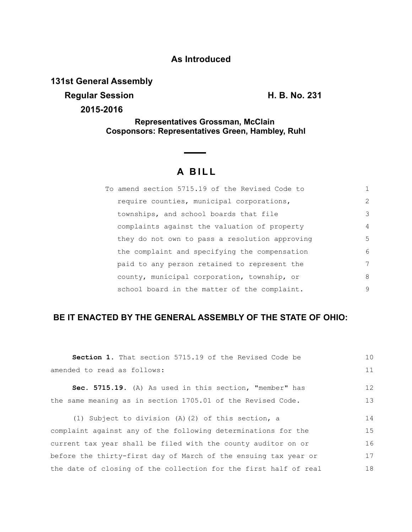## **As Introduced**

**131st General Assembly**

**Regular Session H. B. No. 231** 

**2015-2016**

**Representatives Grossman, McClain Cosponsors: Representatives Green, Hambley, Ruhl**

# **A B I L L**

| To amend section 5715.19 of the Revised Code to |               |
|-------------------------------------------------|---------------|
| require counties, municipal corporations,       | $\mathcal{L}$ |
| townships, and school boards that file          | 3             |
| complaints against the valuation of property    | 4             |
| they do not own to pass a resolution approving  | 5             |
| the complaint and specifying the compensation   | 6             |
| paid to any person retained to represent the    | 7             |
| county, municipal corporation, township, or     | 8             |
| school board in the matter of the complaint.    | 9             |

### **BE IT ENACTED BY THE GENERAL ASSEMBLY OF THE STATE OF OHIO:**

| <b>Section 1.</b> That section 5715.19 of the Revised Code be    | 10 |
|------------------------------------------------------------------|----|
| amended to read as follows:                                      | 11 |
| Sec. 5715.19. (A) As used in this section, "member" has          | 12 |
| the same meaning as in section 1705.01 of the Revised Code.      | 13 |
| (1) Subject to division $(A)$ (2) of this section, a             | 14 |
| complaint against any of the following determinations for the    | 15 |
| current tax year shall be filed with the county auditor on or    | 16 |
| before the thirty-first day of March of the ensuing tax year or  |    |
| the date of closing of the collection for the first half of real |    |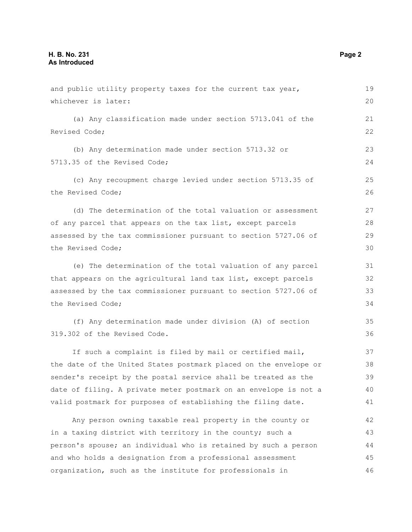and public utility property taxes for the current tax year, whichever is later: (a) Any classification made under section 5713.041 of the Revised Code; (b) Any determination made under section 5713.32 or 5713.35 of the Revised Code; (c) Any recoupment charge levied under section 5713.35 of the Revised Code; (d) The determination of the total valuation or assessment of any parcel that appears on the tax list, except parcels assessed by the tax commissioner pursuant to section 5727.06 of the Revised Code; (e) The determination of the total valuation of any parcel that appears on the agricultural land tax list, except parcels assessed by the tax commissioner pursuant to section 5727.06 of the Revised Code; (f) Any determination made under division (A) of section 319.302 of the Revised Code. If such a complaint is filed by mail or certified mail, the date of the United States postmark placed on the envelope or sender's receipt by the postal service shall be treated as the date of filing. A private meter postmark on an envelope is not a valid postmark for purposes of establishing the filing date. Any person owning taxable real property in the county or in a taxing district with territory in the county; such a person's spouse; an individual who is retained by such a person and who holds a designation from a professional assessment organization, such as the institute for professionals in 20 21 22 23 24 25 26 27 28 29 30 31 32 33 34 35 36 37 38 39 40 41 42 43 44 45 46

19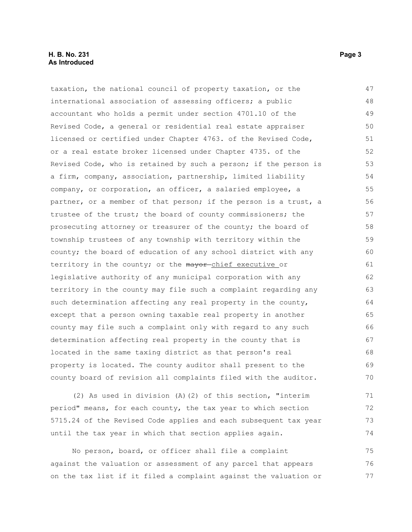#### **H. B. No. 231 Page 3 As Introduced**

taxation, the national council of property taxation, or the international association of assessing officers; a public accountant who holds a permit under section 4701.10 of the Revised Code, a general or residential real estate appraiser licensed or certified under Chapter 4763. of the Revised Code, or a real estate broker licensed under Chapter 4735. of the Revised Code, who is retained by such a person; if the person is a firm, company, association, partnership, limited liability company, or corporation, an officer, a salaried employee, a partner, or a member of that person; if the person is a trust, a trustee of the trust; the board of county commissioners; the prosecuting attorney or treasurer of the county; the board of township trustees of any township with territory within the county; the board of education of any school district with any territory in the county; or the mayor-chief executive or legislative authority of any municipal corporation with any territory in the county may file such a complaint regarding any such determination affecting any real property in the county, except that a person owning taxable real property in another county may file such a complaint only with regard to any such determination affecting real property in the county that is located in the same taxing district as that person's real property is located. The county auditor shall present to the county board of revision all complaints filed with the auditor. 47 48 49 50 51 52 53 54 55 56 57 58 59 60 61 62 63 64 65 66 67 68 69 70

(2) As used in division (A)(2) of this section, "interim period" means, for each county, the tax year to which section 5715.24 of the Revised Code applies and each subsequent tax year until the tax year in which that section applies again. 71 72 73 74

No person, board, or officer shall file a complaint against the valuation or assessment of any parcel that appears on the tax list if it filed a complaint against the valuation or 75 76 77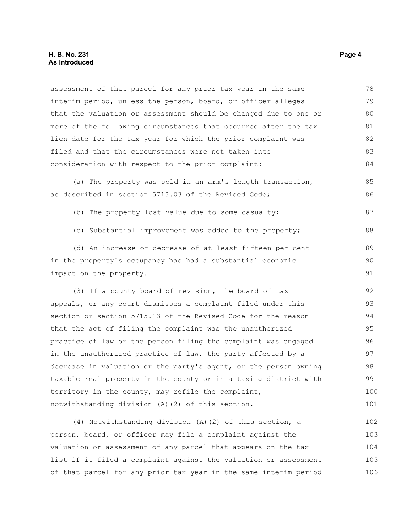assessment of that parcel for any prior tax year in the same interim period, unless the person, board, or officer alleges that the valuation or assessment should be changed due to one or more of the following circumstances that occurred after the tax lien date for the tax year for which the prior complaint was filed and that the circumstances were not taken into consideration with respect to the prior complaint: 78 79 80 81 82 83 84

(a) The property was sold in an arm's length transaction, as described in section 5713.03 of the Revised Code; 85 86

- (b) The property lost value due to some casualty; 87
- (c) Substantial improvement was added to the property;

(d) An increase or decrease of at least fifteen per cent in the property's occupancy has had a substantial economic impact on the property. 89 90 91

(3) If a county board of revision, the board of tax appeals, or any court dismisses a complaint filed under this section or section 5715.13 of the Revised Code for the reason that the act of filing the complaint was the unauthorized practice of law or the person filing the complaint was engaged in the unauthorized practice of law, the party affected by a decrease in valuation or the party's agent, or the person owning taxable real property in the county or in a taxing district with territory in the county, may refile the complaint, notwithstanding division (A)(2) of this section. 92 93 94 95 96 97 98 99 100 101

(4) Notwithstanding division (A)(2) of this section, a person, board, or officer may file a complaint against the valuation or assessment of any parcel that appears on the tax list if it filed a complaint against the valuation or assessment of that parcel for any prior tax year in the same interim period 102 103 104 105 106

88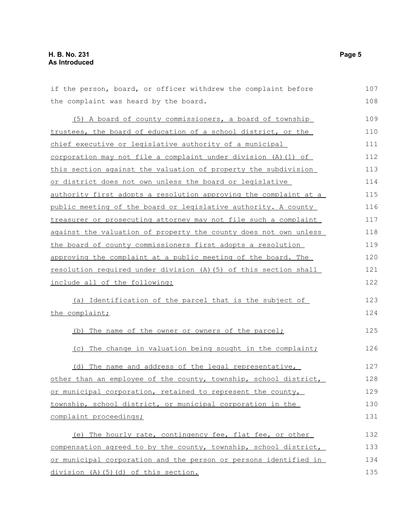if the person, board, or officer withdrew the complaint before the complaint was heard by the board. (5) A board of county commissioners, a board of township trustees, the board of education of a school district, or the chief executive or legislative authority of a municipal corporation may not file a complaint under division (A)(1) of this section against the valuation of property the subdivision or district does not own unless the board or legislative authority first adopts a resolution approving the complaint at a public meeting of the board or legislative authority. A county treasurer or prosecuting attorney may not file such a complaint against the valuation of property the county does not own unless the board of county commissioners first adopts a resolution approving the complaint at a public meeting of the board. The resolution required under division (A)(5) of this section shall include all of the following: (a) Identification of the parcel that is the subject of the complaint; (b) The name of the owner or owners of the parcel; (c) The change in valuation being sought in the complaint; (d) The name and address of the legal representative, other than an employee of the county, township, school district, or municipal corporation, retained to represent the county, township, school district, or municipal corporation in the complaint proceedings; (e) The hourly rate, contingency fee, flat fee, or other compensation agreed to by the county, township, school district, or municipal corporation and the person or persons identified in 107 108 109 110 111 112 113 114 115 116 117 118 119 120 121 122 123 124 125 126 127 128 129 130 131 132 133 134

division (A)(5)(d) of this section.

135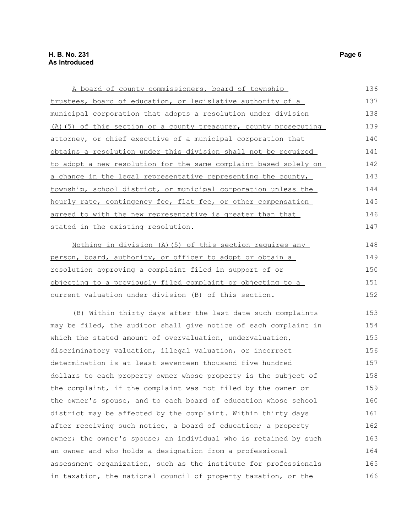| A board of county commissioners, board of township                  | 136 |
|---------------------------------------------------------------------|-----|
| trustees, board of education, or legislative authority of a         | 137 |
| municipal corporation that adopts a resolution under division       | 138 |
| $(A)$ (5) of this section or a county treasurer, county prosecuting | 139 |
| attorney, or chief executive of a municipal corporation that        | 140 |
| obtains a resolution under this division shall not be required      | 141 |
| to adopt a new resolution for the same complaint based solely on    | 142 |
| a change in the legal representative representing the county,       | 143 |
| township, school district, or municipal corporation unless the      | 144 |
| hourly rate, contingency fee, flat fee, or other compensation       | 145 |
| agreed to with the new representative is greater than that          | 146 |
| stated in the existing resolution.                                  | 147 |
| Nothing in division $(A)$ (5) of this section requires any          | 148 |

| person, board, authority, or officer to adopt or obtain a   | 149  |
|-------------------------------------------------------------|------|
| resolution approving a complaint filed in support of or     | 150  |
| objecting to a previously filed complaint or objecting to a | 1.51 |
| current valuation under division (B) of this section.       | 1.52 |

(B) Within thirty days after the last date such complaints may be filed, the auditor shall give notice of each complaint in which the stated amount of overvaluation, undervaluation, discriminatory valuation, illegal valuation, or incorrect determination is at least seventeen thousand five hundred dollars to each property owner whose property is the subject of the complaint, if the complaint was not filed by the owner or the owner's spouse, and to each board of education whose school district may be affected by the complaint. Within thirty days after receiving such notice, a board of education; a property owner; the owner's spouse; an individual who is retained by such an owner and who holds a designation from a professional assessment organization, such as the institute for professionals in taxation, the national council of property taxation, or the 153 154 155 156 157 158 159 160 161 162 163 164 165 166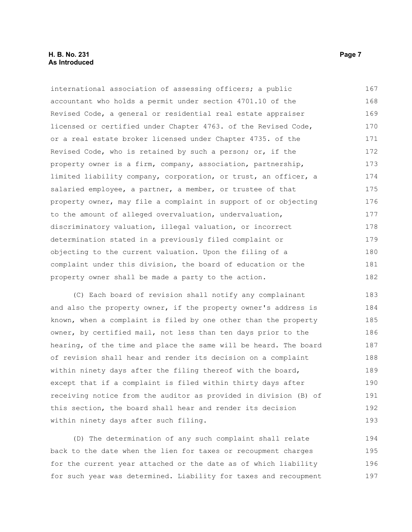#### **H. B. No. 231 Page 7 As Introduced**

international association of assessing officers; a public accountant who holds a permit under section 4701.10 of the Revised Code, a general or residential real estate appraiser licensed or certified under Chapter 4763. of the Revised Code, or a real estate broker licensed under Chapter 4735. of the Revised Code, who is retained by such a person; or, if the property owner is a firm, company, association, partnership, limited liability company, corporation, or trust, an officer, a salaried employee, a partner, a member, or trustee of that property owner, may file a complaint in support of or objecting to the amount of alleged overvaluation, undervaluation, discriminatory valuation, illegal valuation, or incorrect determination stated in a previously filed complaint or objecting to the current valuation. Upon the filing of a complaint under this division, the board of education or the property owner shall be made a party to the action. 167 168 169 170 171 172 173 174 175 176 177 178 179 180 181 182

(C) Each board of revision shall notify any complainant and also the property owner, if the property owner's address is known, when a complaint is filed by one other than the property owner, by certified mail, not less than ten days prior to the hearing, of the time and place the same will be heard. The board of revision shall hear and render its decision on a complaint within ninety days after the filing thereof with the board, except that if a complaint is filed within thirty days after receiving notice from the auditor as provided in division (B) of this section, the board shall hear and render its decision within ninety days after such filing. 183 184 185 186 187 188 189 190 191 192 193

(D) The determination of any such complaint shall relate back to the date when the lien for taxes or recoupment charges for the current year attached or the date as of which liability for such year was determined. Liability for taxes and recoupment 194 195 196 197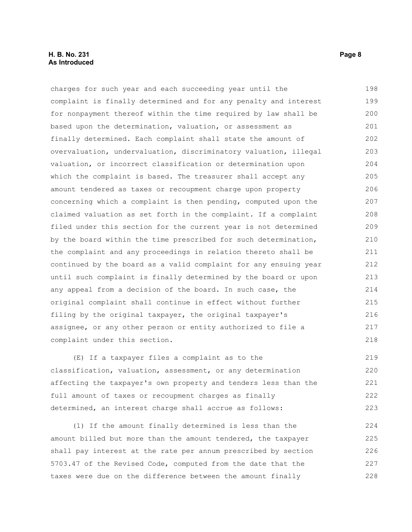#### **H. B. No. 231 Page 8 As Introduced**

charges for such year and each succeeding year until the complaint is finally determined and for any penalty and interest for nonpayment thereof within the time required by law shall be based upon the determination, valuation, or assessment as finally determined. Each complaint shall state the amount of overvaluation, undervaluation, discriminatory valuation, illegal valuation, or incorrect classification or determination upon which the complaint is based. The treasurer shall accept any amount tendered as taxes or recoupment charge upon property concerning which a complaint is then pending, computed upon the claimed valuation as set forth in the complaint. If a complaint filed under this section for the current year is not determined by the board within the time prescribed for such determination, the complaint and any proceedings in relation thereto shall be continued by the board as a valid complaint for any ensuing year until such complaint is finally determined by the board or upon any appeal from a decision of the board. In such case, the original complaint shall continue in effect without further filing by the original taxpayer, the original taxpayer's assignee, or any other person or entity authorized to file a complaint under this section. 198 199 200 201 202 203 204 205 206 207 208 209 210 211 212 213 214 215 216 217 218

(E) If a taxpayer files a complaint as to the classification, valuation, assessment, or any determination affecting the taxpayer's own property and tenders less than the full amount of taxes or recoupment charges as finally determined, an interest charge shall accrue as follows: 219 220 221 222 223

(1) If the amount finally determined is less than the amount billed but more than the amount tendered, the taxpayer shall pay interest at the rate per annum prescribed by section 5703.47 of the Revised Code, computed from the date that the taxes were due on the difference between the amount finally 224 225 226 227 228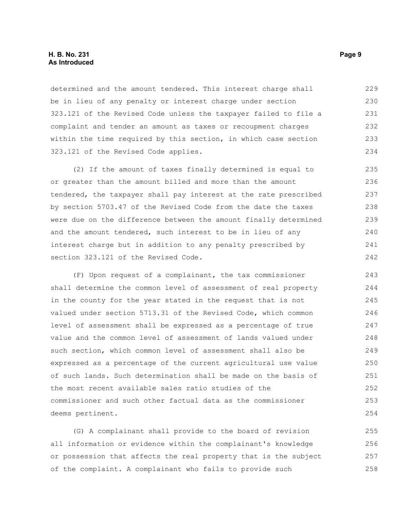determined and the amount tendered. This interest charge shall be in lieu of any penalty or interest charge under section 323.121 of the Revised Code unless the taxpayer failed to file a complaint and tender an amount as taxes or recoupment charges within the time required by this section, in which case section 323.121 of the Revised Code applies. 229 230 231 232 233 234

(2) If the amount of taxes finally determined is equal to or greater than the amount billed and more than the amount tendered, the taxpayer shall pay interest at the rate prescribed by section 5703.47 of the Revised Code from the date the taxes were due on the difference between the amount finally determined and the amount tendered, such interest to be in lieu of any interest charge but in addition to any penalty prescribed by section 323.121 of the Revised Code. 235 236 237 238 239 240 241 242

(F) Upon request of a complainant, the tax commissioner shall determine the common level of assessment of real property in the county for the year stated in the request that is not valued under section 5713.31 of the Revised Code, which common level of assessment shall be expressed as a percentage of true value and the common level of assessment of lands valued under such section, which common level of assessment shall also be expressed as a percentage of the current agricultural use value of such lands. Such determination shall be made on the basis of the most recent available sales ratio studies of the commissioner and such other factual data as the commissioner deems pertinent. 243 244 245 246 247 248 249 250 251 252 253 254

(G) A complainant shall provide to the board of revision all information or evidence within the complainant's knowledge or possession that affects the real property that is the subject of the complaint. A complainant who fails to provide such 255 256 257 258